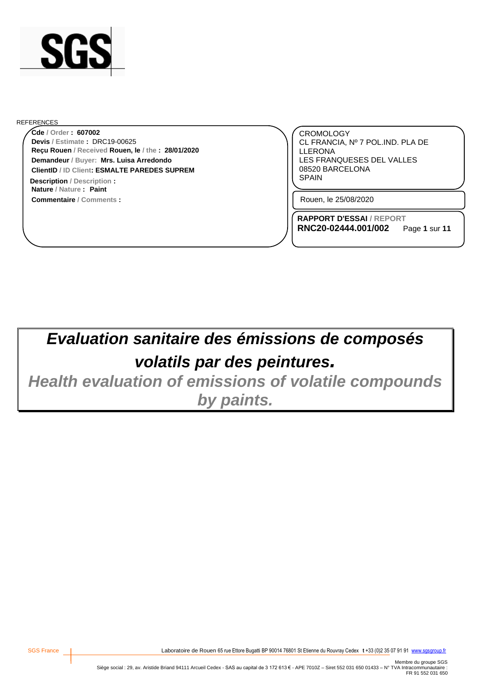

#### REFERENCES

**Reçu Rouen / Received Rouen, le / the : 28/01/2020 Cde / Order : 607002 Demandeur / Buyer: Mrs. Luisa Arredondo ClientID / ID Client: ESMALTE PAREDES SUPREM Devis / Estimate :** DRC19-00625

**Commentaire / Comments : Nature / Nature : Paint Description** / Description **:**  $\qquad \qquad$  **SPAIN** 

CROMOLOGY CL FRANCIA, Nº 7 POL.IND. PLA DE LLERONA LES FRANQUESES DEL VALLES 08520 BARCELONA

Rouen, le 25/08/2020

**RAPPORT D'ESSAI / REPORT RNC20-02444.001/002** Page **1** sur **11**

*Evaluation sanitaire des émissions de composés volatils par des peintures.*

*Health evaluation of emissions of volatile compounds by paints.*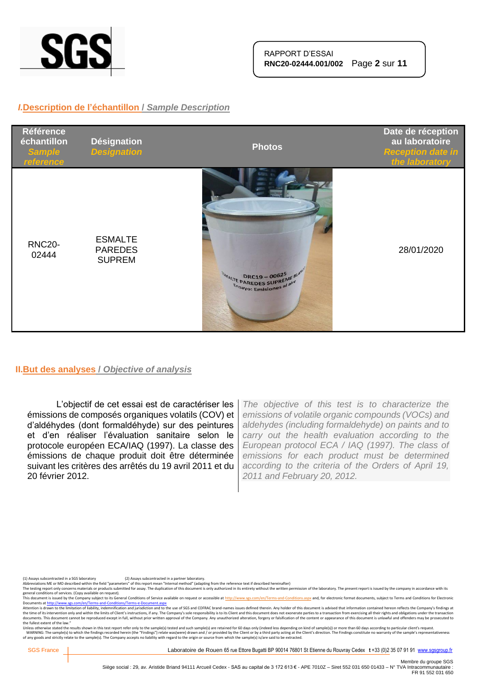

## *I.***Description de l'échantillon /** *Sample Description*



### **II.But des analyses /** *Objective of analysis*

L'objectif de cet essai est de caractériser les émissions de composés organiques volatils (COV) et d'aldéhydes (dont formaldéhyde) sur des peintures et d'en réaliser l'évaluation sanitaire selon le protocole européen ECA/IAQ (1997). La classe des émissions de chaque produit doit être déterminée suivant les critères des arrêtés du 19 avril 2011 et du 20 février 2012.

*The objective of this test is to characterize the emissions of volatile organic compounds (VOCs) and aldehydes (including formaldehyde) on paints and to carry out the health evaluation according to the European protocol ECA / IAQ (1997). The class of emissions for each product must be determined according to the criteria of the Orders of April 19, 2011 and February 20, 2012.*

The testing report only concerns materials or products submitted for assay. The duplication of this document is only authorized in its entirety without the written permission of the laboratory. The present report is issued

general conditions of services. (Copy available on request).<br>This document is issued by the Company subject to its General Conditions of Service available on request or accessible at <u>http://www.sgs.com/en/Terms-and-Condit</u>

Attention is drawn to the limitation of liability, indemnification and jurisdiction and to the use of SGS and COFRAC brand-names issues defined therein. Any holder of this document is advised that information contained her the fullest extent of the law."

Unless otherwise stated the results shown in this test report refer only to the sample(s) tested and such sample(s) are retained for 60 days only (indeed less depending on kind of sample(s)) or more than 60 days according

<sup>(1)</sup> Assays subcontracted in a SGS laboratory (2) Assays subcontracted in a partner laboratory.<br>Abbreviations ME or MO described within the field "parameters" of this report mean "Internal method" (adapting from the referen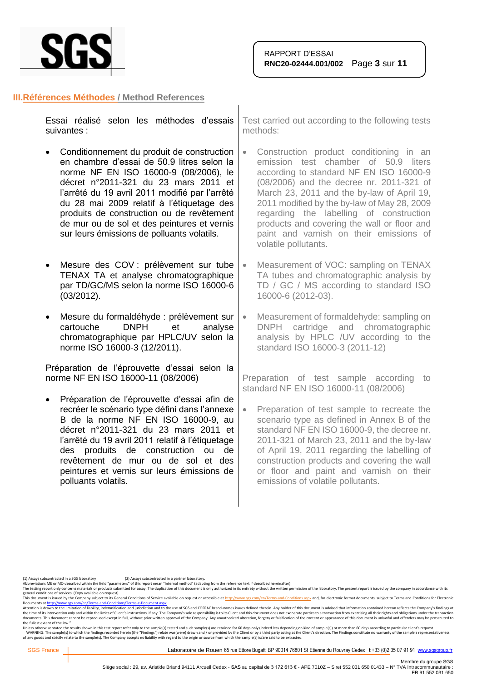

#### **III.Références Méthodes / Method References**

|             |  | Essai réalisé selon les méthodes d'essais Test |      |
|-------------|--|------------------------------------------------|------|
| suivantes : |  |                                                | metl |

- Conditionnement du produit de construction en chambre d'essai de 50.9 litres selon la norme NF EN ISO 16000-9 (08/2006), le décret n°2011-321 du 23 mars 2011 et l'arrêté du 19 avril 2011 modifié par l'arrêté du 28 mai 2009 relatif à l'étiquetage des produits de construction ou de revêtement de mur ou de sol et des peintures et vernis sur leurs émissions de polluants volatils.
- Mesure des COV : prélèvement sur tube TENAX TA et analyse chromatographique par TD/GC/MS selon la norme ISO 16000-6 (03/2012).
- Mesure du formaldéhyde : prélèvement sur cartouche DNPH et analyse chromatographique par HPLC/UV selon la norme ISO 16000-3 (12/2011).

Préparation de l'éprouvette d'essai selon la norme NF EN ISO 16000-11 (08/2006)

• Préparation de l'éprouvette d'essai afin de recréer le scénario type défini dans l'annexe B de la norme NF EN ISO 16000-9, au décret n°2011-321 du 23 mars 2011 et l'arrêté du 19 avril 2011 relatif à l'étiquetage des produits de construction ou de revêtement de mur ou de sol et des peintures et vernis sur leurs émissions de polluants volatils.

t carried out according to the following tests hods:

- Construction product conditioning in an emission test chamber of 50.9 liters according to standard NF EN ISO 16000-9 (08/2006) and the decree nr. 2011-321 of March 23, 2011 and the by-law of April 19, 2011 modified by the by-law of May 28, 2009 regarding the labelling of construction products and covering the wall or floor and paint and varnish on their emissions of volatile pollutants.
- Measurement of VOC: sampling on TENAX TA tubes and chromatographic analysis by TD / GC / MS according to standard ISO 16000-6 (2012-03).
- Measurement of formaldehyde: sampling on DNPH cartridge and chromatographic analysis by HPLC /UV according to the standard ISO 16000-3 (2011-12)

Preparation of test sample according to standard NF EN ISO 16000-11 (08/2006)

• Preparation of test sample to recreate the scenario type as defined in Annex B of the standard NF EN ISO 16000-9, the decree nr. 2011-321 of March 23, 2011 and the by-law of April 19, 2011 regarding the labelling of construction products and covering the wall or floor and paint and varnish on their emissions of volatile pollutants.

(1) Assays subcontracted in a SGS laboratory (2) Assays subcontracted in a partner laboratory.<br>Abbreviations ME or MO described within the field "parameters" of this report mean "Internal method" (adapting from the referen

The testing report only concerns materials or products submitted for assay. The duplication of this document is only authorized in its entirety without the written permission of the laboratory. The present report is issued

general conditions of services. (Copy available on request).<br>This document is issued by the Company subject to its General Conditions of Service available on request or accessible at <u>http://www.sgs.com/en/Terms-and-Condit</u>

Attention is drawn to the limitation of liability, indemnification and jurisdiction and to the use of SGS and COFRAC brand-names issues defined therein. Any holder of this document is advised that information contained her the fullest extent of the law."

Unless otherwise stated the results shown in this test report refer only to the sample(s) tested and such sample(s) are retained for 60 days only (indeed less depending on kind of sample(s)) or more than 60 days according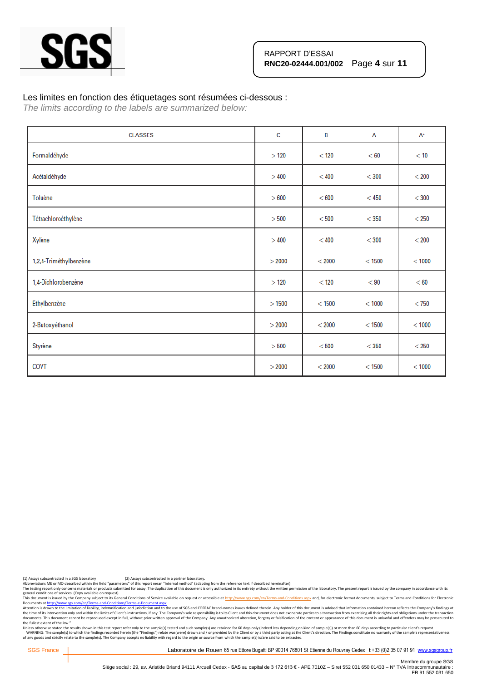

#### Les limites en fonction des étiquetages sont résumées ci-dessous :

*The limits according to the labels are summarized below:*

| <b>CLASSES</b>         | c      | B        | A        | $A^+$   |
|------------------------|--------|----------|----------|---------|
| Formaldéhyde           | >120   | $<$ 120  | < 60     | < 10    |
| Acétaldéhyde           | >400   | < 400    | $<$ 300  | $<$ 200 |
| Toluène                | > 600  | < 600    | $<$ 450  | $<$ 300 |
| Tétrachloroéthylène    | > 500  | < 500    | $<$ 350  | $<$ 250 |
| Xylène                 | >400   | < 400    | $<$ 300  | $<$ 200 |
| 1,2,4-Triméthylbenzène | > 2000 | < 2000   | $<$ 1500 | < 1000  |
| 1,4-Dichlorobenzène    | >120   | < 120    | < 90     | < 60    |
| Ethylbenzène           | >1500  | $<$ 1500 | < 1000   | $<$ 750 |
| 2-Butoxyéthanol        | > 2000 | < 2000   | $<$ 1500 | < 1000  |
| Styrène                | > 500  | < 500    | $<$ 350  | $<$ 250 |
| COVT                   | > 2000 | < 2000   | < 1500   | < 1000  |

(1) Assays subcontracted in a SGS laboratory (2) Assays subcontracted in a partner laboratory.<br>Abbreviations ME or MO described within the field "parameters" of this report mean "Internal method" (adapting from the referen

ADDreviations wie or will described whill the near parameters or una report mean internal method in excluding term in excluding to our conclusts comparting in the strethy without the written permission of the laboratory. T

general conditions of services. (Copy available on request).<br>This documents a fister of the Company subject to the Company subject to the Gompany subject to the School of<br>Documents at <u>http://www.ses.com/en/Terms-and-Condi</u> the fullest extent of the law."

Unless otherwise stated the results shown in this test report refer only to the sample(s) tested and such sample(s) are retained for 60 days only (indeed less depending on kind of sample(s)) or more than 60 days according

SGS France | Laboratoire de Rouen 65 rue Ettore Bugatti BP 90014 76801 St Etienne du Rouvray Cedex t +33 (0)2 35 07 91 91 [www.sgsgroup.fr](http://www.sgsgroup.fr/)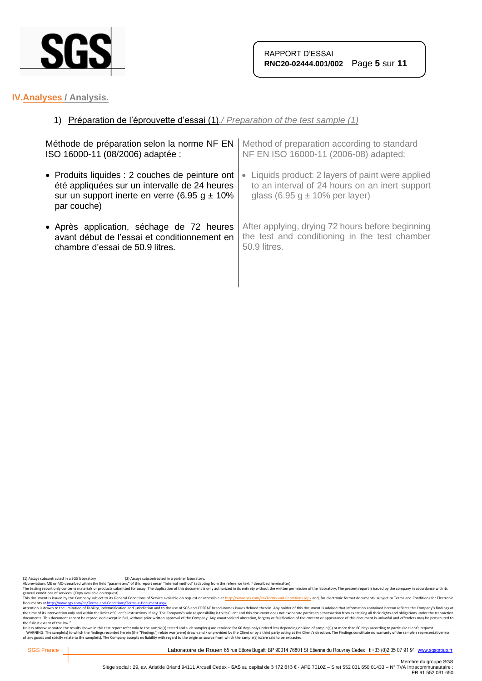

## **IV.Analyses / Analysis.**

## 1) Préparation de l'éprouvette d'essai (1)*./ Preparation of the test sample (1)*

| Méthode de préparation selon la norme NF EN      | Method of preparation according to standard      |  |
|--------------------------------------------------|--------------------------------------------------|--|
| ISO 16000-11 (08/2006) adaptée :                 | NF EN ISO 16000-11 (2006-08) adapted:            |  |
| • Produits liquides : 2 couches de peinture ont  | Liquids product: 2 layers of paint were applied  |  |
| été appliquées sur un intervalle de 24 heures    | $\bullet$                                        |  |
| sur un support inerte en verre (6.95 g $\pm$ 10% | to an interval of 24 hours on an inert support   |  |
| par couche)                                      | glass (6.95 g $\pm$ 10% per layer)               |  |
| • Après application, séchage de 72 heures        | After applying, drying 72 hours before beginning |  |
| avant début de l'essai et conditionnement en     | the test and conditioning in the test chamber    |  |
| chambre d'essai de 50.9 litres.                  | 50.9 litres.                                     |  |

(1) Assays subcontracted in a SGS laboratory (2) Assays subcontracted in a partner laboratory.<br>Abbreviations ME or MO described within the field "parameters" of this report mean "Internal method" (adapting from the referen

The testing report only concerns materials or products submitted for assay. The duplication of this document is only authorized in its entirety without the written permission of the laboratory. The present report is issued

general conditions of services. (Copy available on request).<br>This documents a fister of the Company subject to the Company subject to the Gompany subject to the School of<br>Documents at <u>http://www.ses.com/en/Terms-and-Condi</u> the fullest extent of the law."

Unless otherwise stated the results shown in this test report refer only to the sample(s) tested and such sample(s) are retained for 60 days only (indeed less depending on kind of sample(s)) or more than 60 days according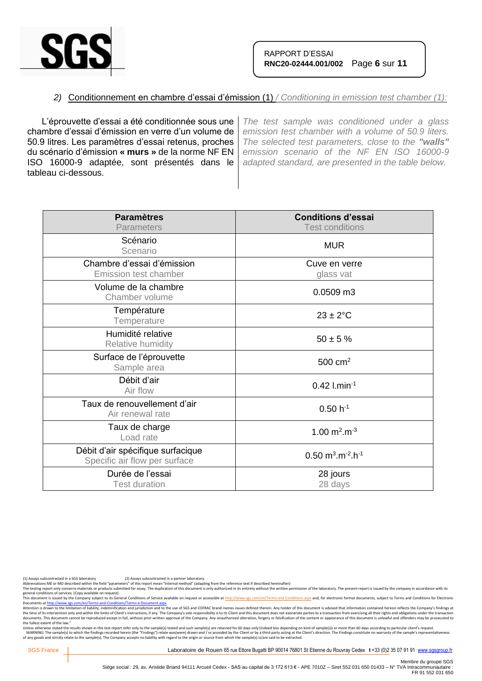

## *2)* Conditionnement en chambre d'essai d'émission (1) */ Conditioning in emission test chamber (1):*

L'éprouvette d'essai a été conditionnée sous une chambre d'essai d'émission en verre d'un volume de 50.9 litres. Les paramètres d'essai retenus, proches du scénario d'émission **« murs »** de la norme NF EN ISO 16000-9 adaptée, sont présentés dans le tableau ci-dessous.

*The test sample was conditioned under a glass emission test chamber with a volume of 50.9 liters. The selected test parameters, close to the "walls" emission scenario of the NF EN ISO 16000-9 adapted standard, are presented in the table below.*

| <b>Paramètres</b><br><b>Parameters</b>                             | <b>Conditions d'essai</b><br><b>Test conditions</b>        |
|--------------------------------------------------------------------|------------------------------------------------------------|
| Scénario<br>Scenario                                               | <b>MUR</b>                                                 |
| Chambre d'essai d'émission<br><b>Emission test chamber</b>         | Cuve en verre<br>glass vat                                 |
| Volume de la chambre<br>Chamber volume                             | 0.0509 m3                                                  |
| Température<br>Temperature                                         | $23 \pm 2$ °C                                              |
| Humidité relative<br>Relative humidity                             | $50 \pm 5 \%$                                              |
| Surface de l'éprouvette<br>Sample area                             | $500 \text{ cm}^2$                                         |
| Débit d'air<br>Air flow                                            | $0.42$ l.min <sup>-1</sup>                                 |
| Taux de renouvellement d'air<br>Air renewal rate                   | $0.50 h^{-1}$                                              |
| Taux de charge<br>Load rate                                        | 1.00 $m^2.m^{-3}$                                          |
| Débit d'air spécifique surfacique<br>Specific air flow per surface | $0.50 \text{ m}^3 \cdot \text{m}^{-2} \cdot \text{h}^{-1}$ |
| Durée de l'essai<br><b>Test duration</b>                           | 28 jours<br>28 days                                        |

(1) Assays subcontracted in a SGS laboratory (2) Assays subcontracted in a partner laboratory.<br>Abbreviations ME or MO described within the field "parameters" of this report mean "Internal method" (adapting from the referen

The testing report only concerns materials or products submitted for assay. The duplication of this document is only authorized in its entirety without the written permission of the laboratory. The present report is issued

general conditions of services. (Copy available on request).<br>This document is issued by the Company subject to its General Conditions of Service available on request or accessible at <u>http://www.sgs.com/en/Terms-and-Condit</u>

Attention is drawn to the limitation of liability, indemnification and jurisdiction and to the use of SGS and COFRAC brand-names issues defined therein. Any holder of this document is advised that information contained her the fullest extent of the law."

Unless otherwise stated the results shown in this test report refer only to the sample(s) tested and such sample(s) are retained for 60 days only (indeed less depending on kind of sample(s)) or more than 60 days according

SGS France | Laboratoire de Rouen 65 rue Ettore Bugatti BP 90014 76801 St Etienne du Rouvray Cedex t +33 (0)2 35 07 91 91 [www.sgsgroup.fr](http://www.sgsgroup.fr/)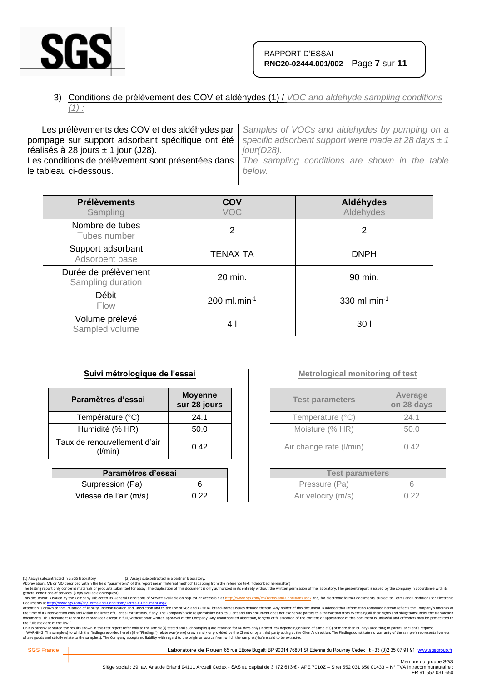

## 3) Conditions de prélèvement des COV et aldéhydes (1) / *VOC and aldehyde sampling conditions (1) :*

Les prélèvements des COV et des aldéhydes par pompage sur support adsorbant spécifique ont été réalisés à 28 jours  $\pm$  1 jour (J28). Les conditions de prélèvement sont présentées dans le tableau ci-dessous. *Samples of VOCs and aldehydes by pumping on a specific adsorbent support were made at 28 days ± 1 jour(D28). The sampling conditions are shown in the table below.*

| <b>Prélèvements</b><br>Sampling           | COV<br><b>VOC</b>          | Aldéhydes<br>Aldehydes |
|-------------------------------------------|----------------------------|------------------------|
| Nombre de tubes<br>Tubes number           | 2                          | 2                      |
| Support adsorbant<br>Adsorbent base       | <b>TENAX TA</b>            | <b>DNPH</b>            |
| Durée de prélèvement<br>Sampling duration | 20 min.                    | 90 min.                |
| Débit<br><b>Flow</b>                      | $200$ ml.min <sup>-1</sup> | 330 ml.min $^{-1}$     |
| Volume prélevé<br>Sampled volume          | 4 I                        | 30 I                   |

### **Suivi métrologique de l'essai**

| Paramètres d'essai                      | <b>Moyenne</b><br>sur 28 jours |
|-----------------------------------------|--------------------------------|
| Température (°C)                        | 24.1                           |
| Humidité (% HR)                         | 50.0                           |
| Taux de renouvellement d'air<br>(I/min) | 0.42                           |

| Paramètres d'essai     |      |  |
|------------------------|------|--|
| Surpression (Pa)       |      |  |
| Vitesse de l'air (m/s) | በ 22 |  |

## **Metrological monitoring of test**

| <b>Test parameters</b>  | Average<br>on 28 days |
|-------------------------|-----------------------|
| Temperature (°C)        | 24.1                  |
| Moisture (% HR)         | 50.0                  |
| Air change rate (I/min) | 0.42                  |

| <b>Test parameters</b> |      |  |
|------------------------|------|--|
| Pressure (Pa)          |      |  |
| Air velocity (m/s)     | 0.22 |  |

(1) Assays subcontracted in a SGS laboratory (2) Assays subcontracted in a partner laboratory.<br>Abbreviations ME or MO described within the field "parameters" of this report mean "Internal method" (adapting from the referen

The testing report only concerns materials or products submitted for assay. The duplication of this document is only authorized in its entirety without the written permission of the laboratory. The present report is issued

general conditions of services. (Copy available on request).<br>This documents a fister of the Company subject to the Company subject to the Gompany subject to the School of<br>Documents at <u>http://www.ses.com/en/Terms-and-Condi</u> the fullest extent of the law."

Unless otherwise stated the results shown in this test report refer only to the sample(s) tested and such sample(s) are retained for 60 days only (indeed less depending on kind of sample(s)) or more than 60 days according

SGS France | Laboratoire de Rouen 65 rue Ettore Bugatti BP 90014 76801 St Etienne du Rouvray Cedex t +33 (0)2 35 07 91 91 [www.sgsgroup.fr](http://www.sgsgroup.fr/)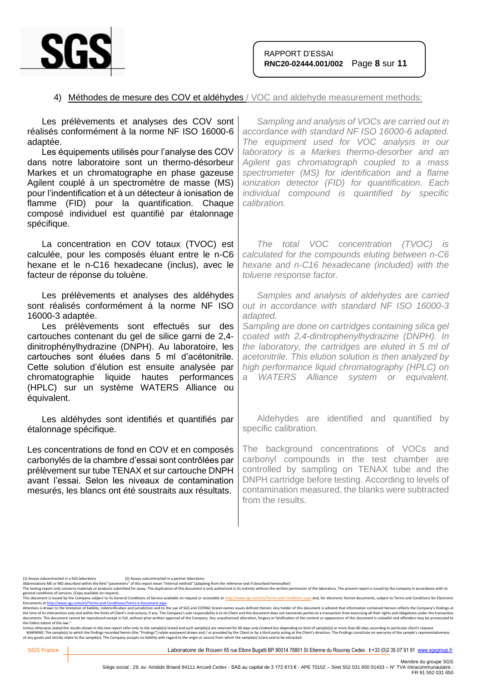

## 4) Méthodes de mesure des COV et aldéhydes / VOC and aldehyde measurement methods:

| Les prélèvements et analyses des COV sont<br>réalisés conformément à la norme NF ISO 16000-6<br>adaptée.<br>Les équipements utilisés pour l'analyse des COV<br>dans notre laboratoire sont un thermo-désorbeur<br>Markes et un chromatographe en phase gazeuse<br>Agilent couplé à un spectromètre de masse (MS)<br>pour l'indentification et à un détecteur à ionisation de<br>flamme (FID) pour la quantification. Chaque<br>composé individuel est quantifié par étalonnage<br>spécifique. | Sampling and analysis of VOCs are carried out in<br>accordance with standard NF ISO 16000-6 adapted.<br>The equipment used for VOC analysis in our<br>laboratory is a Markes thermo-desorber and an<br>Agilent gas chromatograph coupled to a mass<br>spectrometer (MS) for identification and a flame<br>ionization detector (FID) for quantification. Each<br>individual compound is quantified by specific<br>calibration.                    |
|-----------------------------------------------------------------------------------------------------------------------------------------------------------------------------------------------------------------------------------------------------------------------------------------------------------------------------------------------------------------------------------------------------------------------------------------------------------------------------------------------|--------------------------------------------------------------------------------------------------------------------------------------------------------------------------------------------------------------------------------------------------------------------------------------------------------------------------------------------------------------------------------------------------------------------------------------------------|
| La concentration en COV totaux (TVOC) est<br>calculée, pour les composés éluant entre le n-C6<br>hexane et le n-C16 hexadecane (inclus), avec le<br>facteur de réponse du toluène.                                                                                                                                                                                                                                                                                                            | The total VOC concentration (TVOC) is<br>calculated for the compounds eluting between n-C6<br>hexane and n-C16 hexadecane (included) with the<br>toluene response factor.                                                                                                                                                                                                                                                                        |
| Les prélèvements et analyses des aldéhydes<br>sont réalisés conformément à la norme NF ISO<br>16000-3 adaptée.<br>Les prélèvements sont effectués sur des<br>cartouches contenant du gel de silice garni de 2,4-<br>dinitrophénylhydrazine (DNPH). Au laboratoire, les<br>cartouches sont éluées dans 5 ml d'acétonitrile.<br>Cette solution d'élution est ensuite analysée par<br>chromatographie liquide hautes<br>performances<br>(HPLC) sur un système WATERS Alliance ou<br>équivalent.  | Samples and analysis of aldehydes are carried<br>out in accordance with standard NF ISO 16000-3<br>adapted.<br>Sampling are done on cartridges containing silica gel<br>coated with 2,4-dinitrophenylhydrazine (DNPH). In<br>the laboratory, the cartridges are eluted in 5 ml of<br>acetonitrile. This elution solution is then analyzed by<br>high performance liquid chromatography (HPLC) on<br>WATERS Alliance system or equivalent.<br>a - |
| Les aldéhydes sont identifiés et quantifiés par<br>étalonnage spécifique.                                                                                                                                                                                                                                                                                                                                                                                                                     | Aldehydes are identified and quantified by<br>specific calibration.                                                                                                                                                                                                                                                                                                                                                                              |
| Les concentrations de fond en COV et en composés<br>carbonylés de la chambre d'essai sont contrôlées par<br>prélèvement sur tube TENAX et sur cartouche DNPH<br>avant l'essai. Selon les niveaux de contamination<br>mesurés, les blancs ont été soustraits aux résultats.                                                                                                                                                                                                                    | The background concentrations of VOCs and<br>carbonyl compounds in the test chamber are<br>controlled by sampling on TENAX tube and the<br>DNPH cartridge before testing. According to levels of<br>contamination measured, the blanks were subtracted<br>from the results.                                                                                                                                                                      |
|                                                                                                                                                                                                                                                                                                                                                                                                                                                                                               |                                                                                                                                                                                                                                                                                                                                                                                                                                                  |

general conditions of services. (Copy available on request).<br>This documents a fister of the Company subject to the Company subject to the Gompany subject to the School of<br>Documents at <u>http://www.ses.com/en/Terms-and-Condi</u> the fullest extent of the law."

Unless otherwise stated the results shown in this test report refer only to the sample(s) tested and such sample(s) are retained for 60 days only (indeed less depending on kind of sample(s)) or more than 60 days according

<sup>(1)</sup> Assays subcontracted in a SGS laboratory (2) Assays subcontracted in a partner laboratory.<br>Abbreviations ME or MO described within the field "parameters" of this report mean "Internal method" (adapting from the referen

Abbreviations ME or MO described within the field "parameters" of this report mean "Internal method" (adapting from the reference text if described hereinafter)<br>The testing report only concerns materials or products submit

Membre du groupe SGS<br>Siège social : 29, av. Aristide Briand 94111 Arcueil Cedex - SAS au capital de 3 172 613 € - APE 7010Z – Siret 552 031 650 01433 – N° TVA Intracommunautaire :<br>FR 91 552 031 650 FR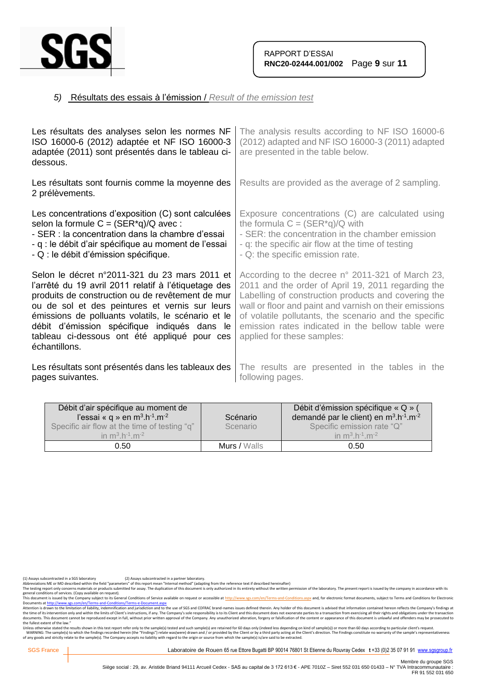

## *5)* Résultats des essais à l'émission / *Result of the emission test*

| Les résultats des analyses selon les normes NF<br>ISO 16000-6 (2012) adaptée et NF ISO 16000-3<br>adaptée (2011) sont présentés dans le tableau ci-<br>dessous.                                                                                                                                                                                                                    | The analysis results according to NF ISO 16000-6<br>(2012) adapted and NF ISO 16000-3 (2011) adapted<br>are presented in the table below.                                                                                                                                                                                                                           |
|------------------------------------------------------------------------------------------------------------------------------------------------------------------------------------------------------------------------------------------------------------------------------------------------------------------------------------------------------------------------------------|---------------------------------------------------------------------------------------------------------------------------------------------------------------------------------------------------------------------------------------------------------------------------------------------------------------------------------------------------------------------|
| Les résultats sont fournis comme la moyenne des<br>2 prélèvements.                                                                                                                                                                                                                                                                                                                 | Results are provided as the average of 2 sampling.                                                                                                                                                                                                                                                                                                                  |
| Les concentrations d'exposition (C) sont calculées<br>selon la formule $C = (SER^*q)/Q$ avec:<br>- SER : la concentration dans la chambre d'essai<br>- q : le débit d'air spécifique au moment de l'essai<br>- Q : le débit d'émission spécifique.                                                                                                                                 | Exposure concentrations (C) are calculated using<br>the formula $C = (SER^*q)/Q$ with<br>- SER: the concentration in the chamber emission<br>- q: the specific air flow at the time of testing<br>- Q: the specific emission rate.                                                                                                                                  |
| Selon le décret n°2011-321 du 23 mars 2011 et<br>l'arrêté du 19 avril 2011 relatif à l'étiquetage des<br>produits de construction ou de revêtement de mur<br>ou de sol et des peintures et vernis sur leurs<br>émissions de polluants volatils, le scénario et le<br>débit d'émission spécifique indiqués dans le<br>tableau ci-dessous ont été appliqué pour ces<br>échantillons. | According to the decree n° 2011-321 of March 23,<br>2011 and the order of April 19, 2011 regarding the<br>Labelling of construction products and covering the<br>wall or floor and paint and varnish on their emissions<br>of volatile pollutants, the scenario and the specific<br>emission rates indicated in the bellow table were<br>applied for these samples: |
| Les résultats sont présentés dans les tableaux des<br>pages suivantes.                                                                                                                                                                                                                                                                                                             | The results are presented in the tables in the<br>following pages.                                                                                                                                                                                                                                                                                                  |

| Débit d'air spécifique au moment de<br>l'essai « q » en $m^3.h^{-1}.m^{-2}$<br>Specific air flow at the time of testing "q"<br>in $m^3 h^{-1} m^{-2}$ | Scénario<br>Scenario | Débit d'émission spécifique « Q » (<br>demandé par le client) en m <sup>3</sup> .h <sup>-1</sup> .m <sup>-2</sup><br>Specific emission rate "Q"<br>in $m^3 h^{-1} m^{-2}$ |
|-------------------------------------------------------------------------------------------------------------------------------------------------------|----------------------|---------------------------------------------------------------------------------------------------------------------------------------------------------------------------|
| 0.50                                                                                                                                                  | Murs / Walls         | 0.50                                                                                                                                                                      |

(1) Assays subcontracted in a SGS laboratory (2) Assays subcontracted in a partner laboratory.<br>Abbreviations ME or MO described within the field "parameters" of this report mean "Internal method" (adapting from the referen

Abbreviations ML or MU described winn the field "parameters" of this report mean "internal methor" ledapting from the reference text if elescribed merenalter) were help the behaving the laboratory. The present report is is

general conditions of services. (Copy available on request).<br>This documents a fister of the Company subject to the Company subject to the Gompany subject to the School of<br>Documents at <u>http://www.ses.com/en/Terms-and-Condi</u> the fullest extent of the law."

Unless otherwise stated the results shown in this test report refer only to the sample(s) tested and such sample(s) are retained for 60 days only (indeed less depending on kind of sample(s)) or more than 60 days according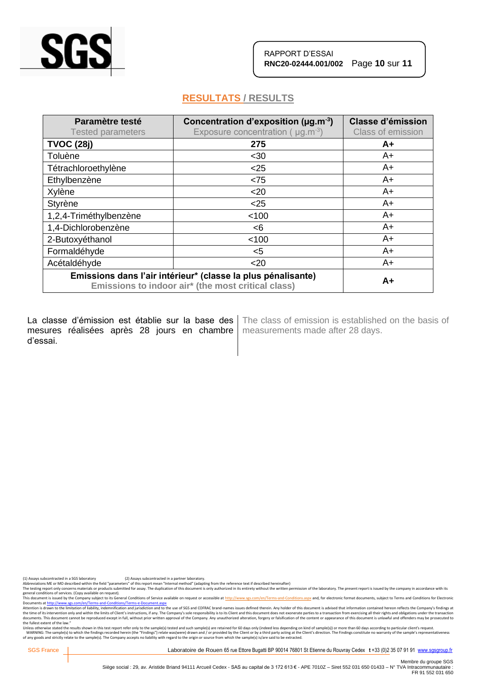

# **RESULTATS / RESULTS**

| Paramètre testé<br><b>Tested parameters</b>                                                                        | Concentration d'exposition ( $\mu$ g.m <sup>-3</sup> )<br>Exposure concentration ( $\mu$ g.m <sup>-3</sup> ) | <b>Classe d'émission</b><br><b>Class of emission</b> |
|--------------------------------------------------------------------------------------------------------------------|--------------------------------------------------------------------------------------------------------------|------------------------------------------------------|
| <b>TVOC (28j)</b>                                                                                                  | 275                                                                                                          | A+                                                   |
| Toluène                                                                                                            | $30$                                                                                                         | A+                                                   |
| Tétrachloroethylène                                                                                                | $25$                                                                                                         | A+                                                   |
| Ethylbenzène                                                                                                       | < 75                                                                                                         | $A+$                                                 |
| Xylène                                                                                                             | $20$                                                                                                         | $A+$                                                 |
| Styrène                                                                                                            | $<$ 25                                                                                                       | A+                                                   |
| 1,2,4-Triméthylbenzène                                                                                             | < 100                                                                                                        | A+                                                   |
| 1,4-Dichlorobenzène                                                                                                | < 6                                                                                                          | $A+$                                                 |
| 2-Butoxyéthanol                                                                                                    | < 100                                                                                                        | A+                                                   |
| Formaldéhyde                                                                                                       | $5$                                                                                                          | $A+$                                                 |
| Acétaldéhyde                                                                                                       | $20$                                                                                                         | $A+$                                                 |
| Emissions dans l'air intérieur* (classe la plus pénalisante)<br>Emissions to indoor air* (the most critical class) |                                                                                                              | $A+$                                                 |

La classe d'émission est établie sur la base des mesures réalisées après 28 jours en chambre d'essai.

The class of emission is established on the basis of measurements made after 28 days.

(1) Assays subcontracted in a SGS laboratory (2) Assays subcontracted in a partner laboratory.<br>Abbreviations ME or MO described within the field "parameters" of this report mean "Internal method" (adapting from the referen

The testing report only concerns materials or products submitted for assay. The duplication of this document is only authorized in its entirety without the written permission of the laboratory. The present report is issued

general conditions of services. (Copy available on request).<br>This documents a fister of the Company subject to the Company subject to the Gompany subject to the School of<br>Documents at <u>http://www.ses.com/en/Terms-and-Condi</u> the fullest extent of the law."

Unless otherwise stated the results shown in this test report refer only to the sample(s) tested and such sample(s) are retained for 60 days only (indeed less depending on kind of sample(s)) or more than 60 days according